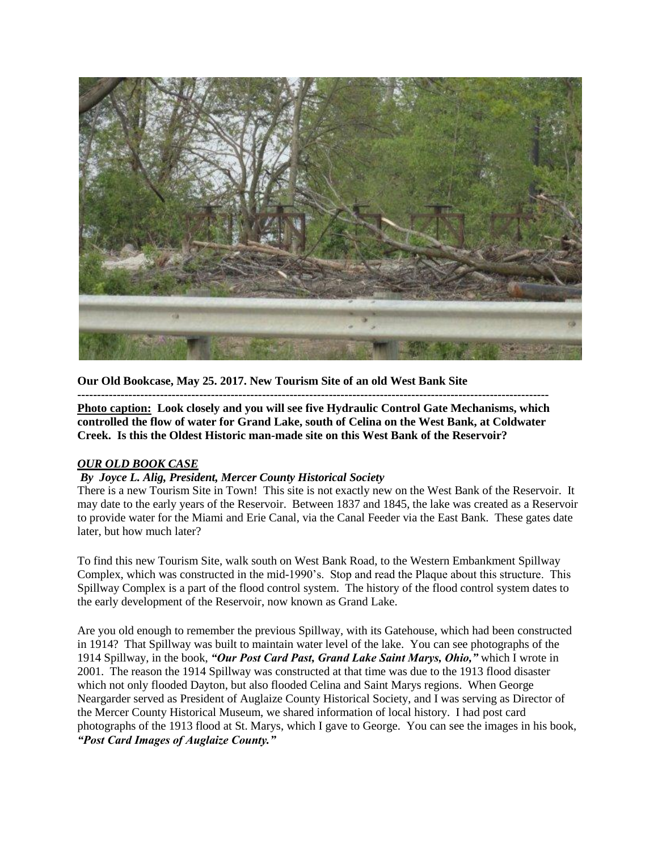

**Our Old Bookcase, May 25. 2017. New Tourism Site of an old West Bank Site**

**------------------------------------------------------------------------------------------------------------------------**

**Photo caption: Look closely and you will see five Hydraulic Control Gate Mechanisms, which controlled the flow of water for Grand Lake, south of Celina on the West Bank, at Coldwater Creek. Is this the Oldest Historic man-made site on this West Bank of the Reservoir?** 

## *OUR OLD BOOK CASE*

## *By Joyce L. Alig, President, Mercer County Historical Society*

There is a new Tourism Site in Town! This site is not exactly new on the West Bank of the Reservoir. It may date to the early years of the Reservoir. Between 1837 and 1845, the lake was created as a Reservoir to provide water for the Miami and Erie Canal, via the Canal Feeder via the East Bank. These gates date later, but how much later?

To find this new Tourism Site, walk south on West Bank Road, to the Western Embankment Spillway Complex, which was constructed in the mid-1990's. Stop and read the Plaque about this structure. This Spillway Complex is a part of the flood control system. The history of the flood control system dates to the early development of the Reservoir, now known as Grand Lake.

Are you old enough to remember the previous Spillway, with its Gatehouse, which had been constructed in 1914? That Spillway was built to maintain water level of the lake. You can see photographs of the 1914 Spillway, in the book, *"Our Post Card Past, Grand Lake Saint Marys, Ohio,"* which I wrote in 2001. The reason the 1914 Spillway was constructed at that time was due to the 1913 flood disaster which not only flooded Dayton, but also flooded Celina and Saint Marys regions. When George Neargarder served as President of Auglaize County Historical Society, and I was serving as Director of the Mercer County Historical Museum, we shared information of local history. I had post card photographs of the 1913 flood at St. Marys, which I gave to George. You can see the images in his book, *"Post Card Images of Auglaize County."*